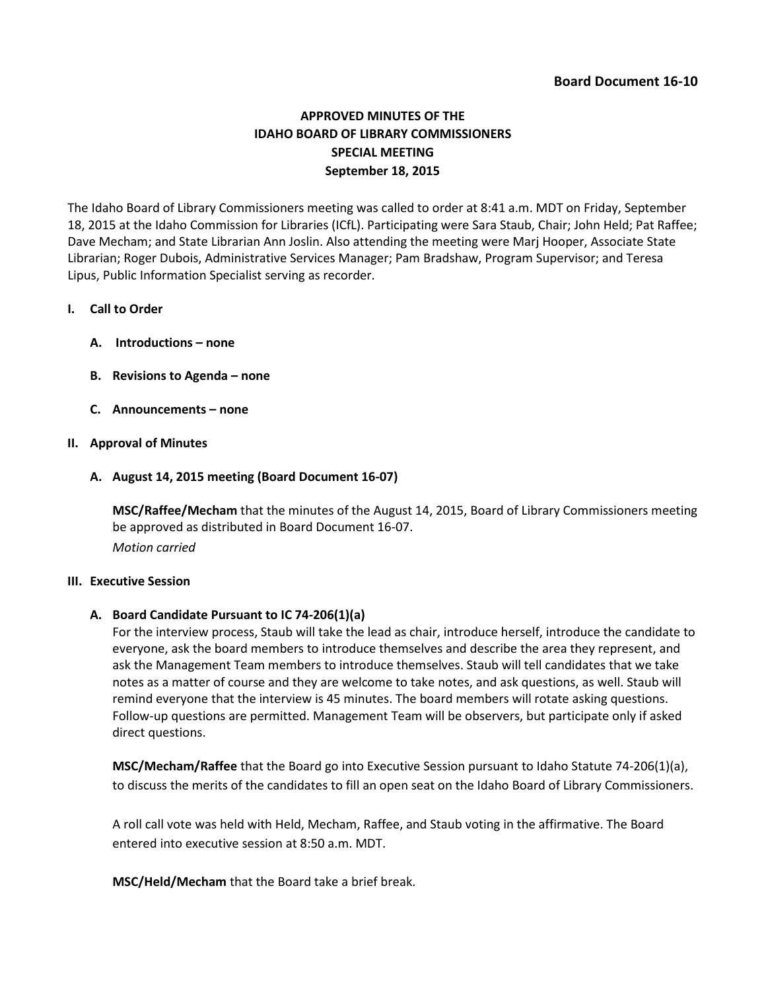# **APPROVED MINUTES OF THE IDAHO BOARD OF LIBRARY COMMISSIONERS SPECIAL MEETING September 18, 2015**

The Idaho Board of Library Commissioners meeting was called to order at 8:41 a.m. MDT on Friday, September 18, 2015 at the Idaho Commission for Libraries (ICfL). Participating were Sara Staub, Chair; John Held; Pat Raffee; Dave Mecham; and State Librarian Ann Joslin. Also attending the meeting were Marj Hooper, Associate State Librarian; Roger Dubois, Administrative Services Manager; Pam Bradshaw, Program Supervisor; and Teresa Lipus, Public Information Specialist serving as recorder.

## **I. Call to Order**

- **A. Introductions – none**
- **B. Revisions to Agenda – none**
- **C. Announcements – none**

## **II. Approval of Minutes**

#### **A. August 14, 2015 meeting (Board Document 16-07)**

**MSC/Raffee/Mecham** that the minutes of the August 14, 2015, Board of Library Commissioners meeting be approved as distributed in Board Document 16-07. *Motion carried*

#### **III. Executive Session**

#### **A. Board Candidate Pursuant to IC 74-206(1)(a)**

For the interview process, Staub will take the lead as chair, introduce herself, introduce the candidate to everyone, ask the board members to introduce themselves and describe the area they represent, and ask the Management Team members to introduce themselves. Staub will tell candidates that we take notes as a matter of course and they are welcome to take notes, and ask questions, as well. Staub will remind everyone that the interview is 45 minutes. The board members will rotate asking questions. Follow-up questions are permitted. Management Team will be observers, but participate only if asked direct questions.

**MSC/Mecham/Raffee** that the Board go into Executive Session pursuant to Idaho Statute 74-206(1)(a), to discuss the merits of the candidates to fill an open seat on the Idaho Board of Library Commissioners.

A roll call vote was held with Held, Mecham, Raffee, and Staub voting in the affirmative. The Board entered into executive session at 8:50 a.m. MDT.

**MSC/Held/Mecham** that the Board take a brief break.